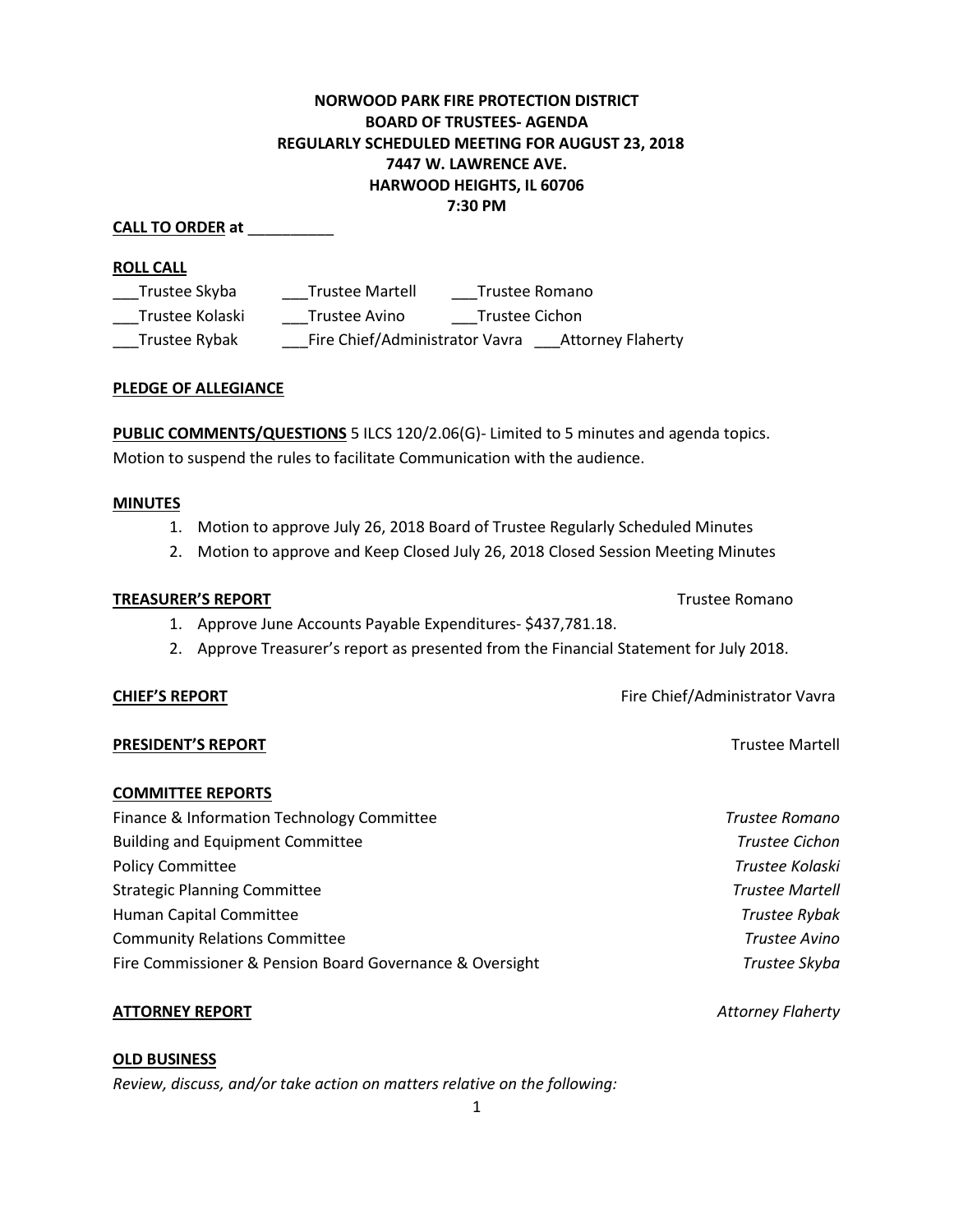# **NORWOOD PARK FIRE PROTECTION DISTRICT BOARD OF TRUSTEES- AGENDA REGULARLY SCHEDULED MEETING FOR AUGUST 23, 2018 7447 W. LAWRENCE AVE. HARWOOD HEIGHTS, IL 60706 7:30 PM**

### **CALL TO ORDER at** \_\_\_\_\_\_\_\_\_\_

### **ROLL CALL**

| Trustee Skyba   | <b>Trustee Martell</b>         |                | Trustee Romano           |
|-----------------|--------------------------------|----------------|--------------------------|
| Trustee Kolaski | Trustee Avino                  | Trustee Cichon |                          |
| Trustee Rybak   | Fire Chief/Administrator Vavra |                | <b>Attorney Flaherty</b> |

### **PLEDGE OF ALLEGIANCE**

**PUBLIC COMMENTS/QUESTIONS** 5 ILCS 120/2.06(G)- Limited to 5 minutes and agenda topics. Motion to suspend the rules to facilitate Communication with the audience.

#### **MINUTES**

- 1. Motion to approve July 26, 2018 Board of Trustee Regularly Scheduled Minutes
- 2. Motion to approve and Keep Closed July 26, 2018 Closed Session Meeting Minutes

### **TREASURER'S REPORT** TREASURER'S REPORT

- 1. Approve June Accounts Payable Expenditures- \$437,781.18.
- 2. Approve Treasurer's report as presented from the Financial Statement for July 2018.

#### **CHIEF'S REPORT CHIEF'S REPORT Fire Chief/Administrator Vavra**

#### **PRESIDENT'S REPORT Trustee Martell**

# **COMMITTEE REPORTS**

| Finance & Information Technology Committee               | Trustee Romano         |
|----------------------------------------------------------|------------------------|
| <b>Building and Equipment Committee</b>                  | <b>Trustee Cichon</b>  |
| <b>Policy Committee</b>                                  | Trustee Kolaski        |
| <b>Strategic Planning Committee</b>                      | <b>Trustee Martell</b> |
| Human Capital Committee                                  | Trustee Rybak          |
| <b>Community Relations Committee</b>                     | Trustee Avino          |
| Fire Commissioner & Pension Board Governance & Oversight | Trustee Skyba          |

# **ATTORNEY REPORT** *Attorney Flaherty*

**OLD BUSINESS**

*Review, discuss, and/or take action on matters relative on the following:*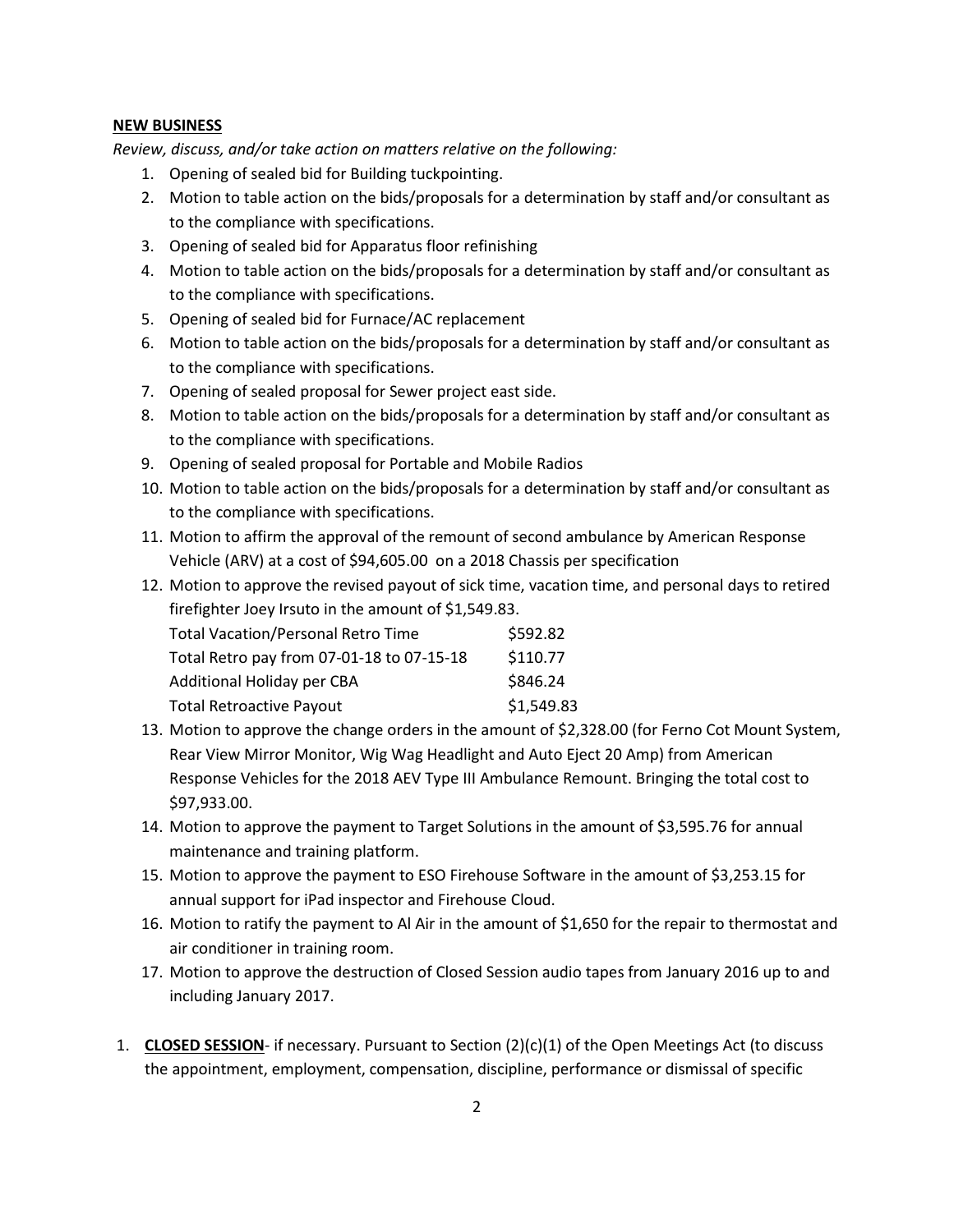#### **NEW BUSINESS**

*Review, discuss, and/or take action on matters relative on the following:*

- 1. Opening of sealed bid for Building tuckpointing.
- 2. Motion to table action on the bids/proposals for a determination by staff and/or consultant as to the compliance with specifications.
- 3. Opening of sealed bid for Apparatus floor refinishing
- 4. Motion to table action on the bids/proposals for a determination by staff and/or consultant as to the compliance with specifications.
- 5. Opening of sealed bid for Furnace/AC replacement
- 6. Motion to table action on the bids/proposals for a determination by staff and/or consultant as to the compliance with specifications.
- 7. Opening of sealed proposal for Sewer project east side.
- 8. Motion to table action on the bids/proposals for a determination by staff and/or consultant as to the compliance with specifications.
- 9. Opening of sealed proposal for Portable and Mobile Radios
- 10. Motion to table action on the bids/proposals for a determination by staff and/or consultant as to the compliance with specifications.
- 11. Motion to affirm the approval of the remount of second ambulance by American Response Vehicle (ARV) at a cost of \$94,605.00 on a 2018 Chassis per specification
- 12. Motion to approve the revised payout of sick time, vacation time, and personal days to retired firefighter Joey Irsuto in the amount of \$1,549.83.

| <b>Total Vacation/Personal Retro Time</b> | \$592.82   |
|-------------------------------------------|------------|
| Total Retro pay from 07-01-18 to 07-15-18 | \$110.77   |
| Additional Holiday per CBA                | \$846.24   |
| <b>Total Retroactive Payout</b>           | \$1,549.83 |

- 13. Motion to approve the change orders in the amount of \$2,328.00 (for Ferno Cot Mount System, Rear View Mirror Monitor, Wig Wag Headlight and Auto Eject 20 Amp) from American Response Vehicles for the 2018 AEV Type III Ambulance Remount. Bringing the total cost to \$97,933.00.
- 14. Motion to approve the payment to Target Solutions in the amount of \$3,595.76 for annual maintenance and training platform.
- 15. Motion to approve the payment to ESO Firehouse Software in the amount of \$3,253.15 for annual support for iPad inspector and Firehouse Cloud.
- 16. Motion to ratify the payment to Al Air in the amount of \$1,650 for the repair to thermostat and air conditioner in training room.
- 17. Motion to approve the destruction of Closed Session audio tapes from January 2016 up to and including January 2017.
- 1. **CLOSED SESSION** if necessary. Pursuant to Section (2)(c)(1) of the Open Meetings Act (to discuss the appointment, employment, compensation, discipline, performance or dismissal of specific